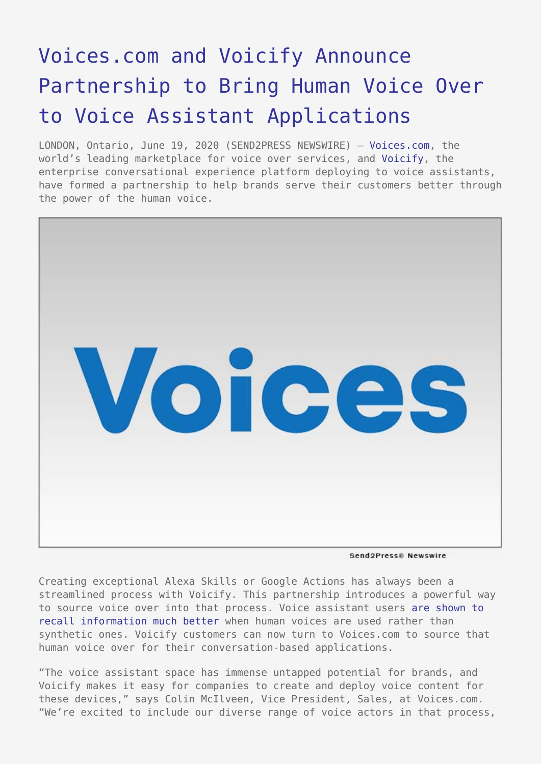## [Voices.com and Voicify Announce](https://www.send2press.com/wire/voices-com-and-voicify-partner-to-bring-human-voice-over-to-voice-assistant-applications/) [Partnership to Bring Human Voice Over](https://www.send2press.com/wire/voices-com-and-voicify-partner-to-bring-human-voice-over-to-voice-assistant-applications/) [to Voice Assistant Applications](https://www.send2press.com/wire/voices-com-and-voicify-partner-to-bring-human-voice-over-to-voice-assistant-applications/)

LONDON, Ontario, June 19, 2020 (SEND2PRESS NEWSWIRE) — [Voices.com,](https://www.voices.com/) the world's leading marketplace for voice over services, and [Voicify](https://voicify.com/), the enterprise conversational experience platform deploying to voice assistants, have formed a partnership to help brands serve their customers better through the power of the human voice.



Send2Press® Newswire

Creating exceptional Alexa Skills or Google Actions has always been a streamlined process with Voicify. This partnership introduces a powerful way to source voice over into that process. Voice assistant users [are shown to](https://www.voices.com/company/press/2019/human-voice-synthetic-information-recall) [recall information much better](https://www.voices.com/company/press/2019/human-voice-synthetic-information-recall) when human voices are used rather than synthetic ones. Voicify customers can now turn to Voices.com to source that human voice over for their conversation-based applications.

"The voice assistant space has immense untapped potential for brands, and Voicify makes it easy for companies to create and deploy voice content for these devices," says Colin McIlveen, Vice President, Sales, at Voices.com. "We're excited to include our diverse range of voice actors in that process,